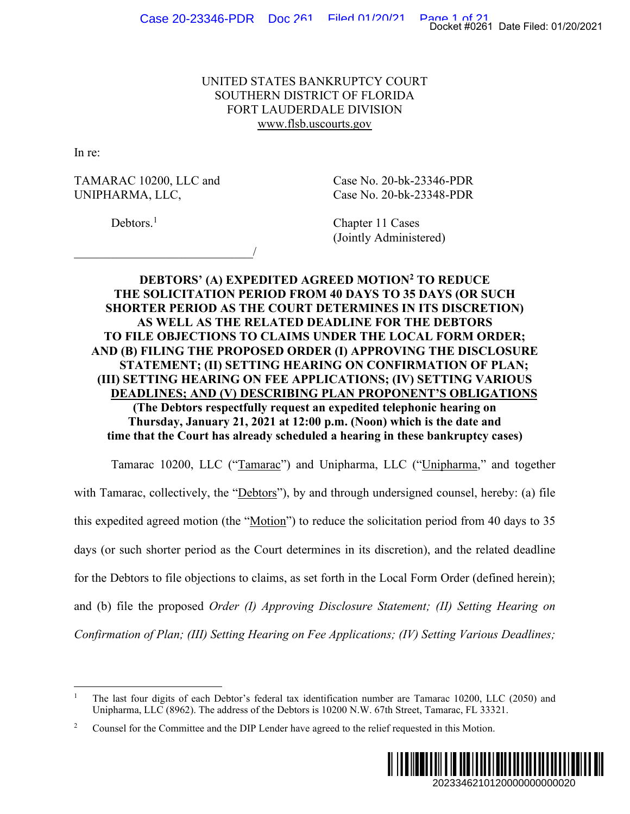### UNITED STATES BANKRUPTCY COURT SOUTHERN DISTRICT OF FLORIDA FORT LAUDERDALE DIVISION www.flsb.uscourts.gov

In re:

TAMARAC 10200, LLC and Case No. 20-bk-23346-PDR UNIPHARMA, LLC, Case No. 20-bk-23348-PDR

 $\overline{\phantom{a}}$ 

Debtors.<sup>1</sup>

 Chapter 11 Cases (Jointly Administered)

**DEBTORS' (A) EXPEDITED AGREED MOTION2 TO REDUCE THE SOLICITATION PERIOD FROM 40 DAYS TO 35 DAYS (OR SUCH SHORTER PERIOD AS THE COURT DETERMINES IN ITS DISCRETION) AS WELL AS THE RELATED DEADLINE FOR THE DEBTORS TO FILE OBJECTIONS TO CLAIMS UNDER THE LOCAL FORM ORDER; AND (B) FILING THE PROPOSED ORDER (I) APPROVING THE DISCLOSURE STATEMENT; (II) SETTING HEARING ON CONFIRMATION OF PLAN; (III) SETTING HEARING ON FEE APPLICATIONS; (IV) SETTING VARIOUS DEADLINES; AND (V) DESCRIBING PLAN PROPONENT'S OBLIGATIONS (The Debtors respectfully request an expedited telephonic hearing on Thursday, January 21, 2021 at 12:00 p.m. (Noon) which is the date and time that the Court has already scheduled a hearing in these bankruptcy cases)** 

Tamarac 10200, LLC ("Tamarac") and Unipharma, LLC ("Unipharma," and together with Tamarac, collectively, the "Debtors"), by and through undersigned counsel, hereby: (a) file this expedited agreed motion (the "Motion") to reduce the solicitation period from 40 days to 35 days (or such shorter period as the Court determines in its discretion), and the related deadline for the Debtors to file objections to claims, as set forth in the Local Form Order (defined herein); and (b) file the proposed *Order (I) Approving Disclosure Statement; (II) Setting Hearing on Confirmation of Plan; (III) Setting Hearing on Fee Applications; (IV) Setting Various Deadlines;*  Docket #0261 Date Filed: 01/20/2021<br>
2023-PDR<br>
2023<br>
2022 Docket #0261 Date Filed: 01/20/2021<br>
2022 OR SUCH<br>
2020 DOCKER SUCCLOSURE<br>
2020 THE DISCLOSURE<br>
2020 DREPTING VARIOUS<br>
2021 DALICATIONS<br>
2023 DREPTING<br>
2020 DREPTIN

<sup>2</sup> Counsel for the Committee and the DIP Lender have agreed to the relief requested in this Motion.



<sup>1</sup> The last four digits of each Debtor's federal tax identification number are Tamarac 10200, LLC (2050) and Unipharma, LLC (8962). The address of the Debtors is 10200 N.W. 67th Street, Tamarac, FL 33321.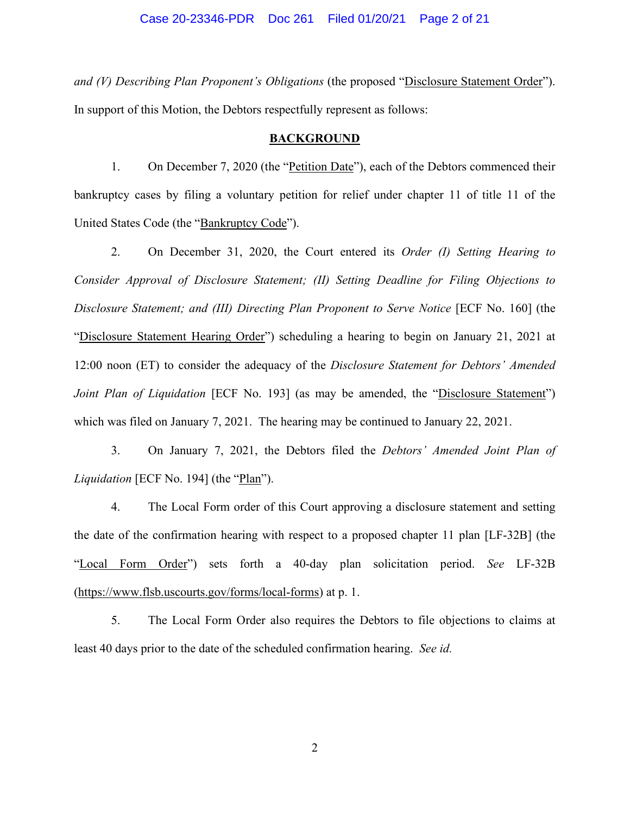#### Case 20-23346-PDR Doc 261 Filed 01/20/21 Page 2 of 21

*and (V) Describing Plan Proponent's Obligations* (the proposed "Disclosure Statement Order"). In support of this Motion, the Debtors respectfully represent as follows:

#### **BACKGROUND**

1. On December 7, 2020 (the "Petition Date"), each of the Debtors commenced their bankruptcy cases by filing a voluntary petition for relief under chapter 11 of title 11 of the United States Code (the "Bankruptcy Code").

2. On December 31, 2020, the Court entered its *Order (I) Setting Hearing to Consider Approval of Disclosure Statement; (II) Setting Deadline for Filing Objections to Disclosure Statement; and (III) Directing Plan Proponent to Serve Notice* [ECF No. 160] (the "Disclosure Statement Hearing Order") scheduling a hearing to begin on January 21, 2021 at 12:00 noon (ET) to consider the adequacy of the *Disclosure Statement for Debtors' Amended Joint Plan of Liquidation* [ECF No. 193] (as may be amended, the "Disclosure Statement") which was filed on January 7, 2021. The hearing may be continued to January 22, 2021.

3. On January 7, 2021, the Debtors filed the *Debtors' Amended Joint Plan of Liquidation* [ECF No. 194] (the "Plan").

4. The Local Form order of this Court approving a disclosure statement and setting the date of the confirmation hearing with respect to a proposed chapter 11 plan [LF-32B] (the "Local Form Order") sets forth a 40-day plan solicitation period. *See* LF-32B (https://www.flsb.uscourts.gov/forms/local-forms) at p. 1.

5. The Local Form Order also requires the Debtors to file objections to claims at least 40 days prior to the date of the scheduled confirmation hearing. *See id.* 

2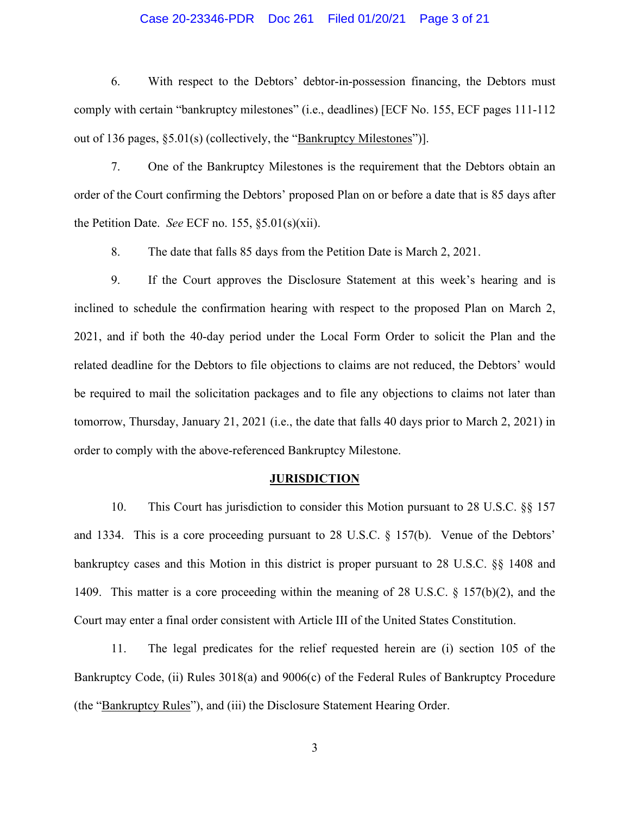#### Case 20-23346-PDR Doc 261 Filed 01/20/21 Page 3 of 21

6. With respect to the Debtors' debtor-in-possession financing, the Debtors must comply with certain "bankruptcy milestones" (i.e., deadlines) [ECF No. 155, ECF pages 111-112 out of 136 pages, §5.01(s) (collectively, the "Bankruptcy Milestones")].

7. One of the Bankruptcy Milestones is the requirement that the Debtors obtain an order of the Court confirming the Debtors' proposed Plan on or before a date that is 85 days after the Petition Date. *See* ECF no. 155, §5.01(s)(xii).

8. The date that falls 85 days from the Petition Date is March 2, 2021.

9. If the Court approves the Disclosure Statement at this week's hearing and is inclined to schedule the confirmation hearing with respect to the proposed Plan on March 2, 2021, and if both the 40-day period under the Local Form Order to solicit the Plan and the related deadline for the Debtors to file objections to claims are not reduced, the Debtors' would be required to mail the solicitation packages and to file any objections to claims not later than tomorrow, Thursday, January 21, 2021 (i.e., the date that falls 40 days prior to March 2, 2021) in order to comply with the above-referenced Bankruptcy Milestone.

#### **JURISDICTION**

10. This Court has jurisdiction to consider this Motion pursuant to 28 U.S.C. §§ 157 and 1334. This is a core proceeding pursuant to 28 U.S.C. § 157(b). Venue of the Debtors' bankruptcy cases and this Motion in this district is proper pursuant to 28 U.S.C. §§ 1408 and 1409. This matter is a core proceeding within the meaning of 28 U.S.C. § 157(b)(2), and the Court may enter a final order consistent with Article III of the United States Constitution.

11. The legal predicates for the relief requested herein are (i) section 105 of the Bankruptcy Code, (ii) Rules 3018(a) and 9006(c) of the Federal Rules of Bankruptcy Procedure (the "Bankruptcy Rules"), and (iii) the Disclosure Statement Hearing Order.

3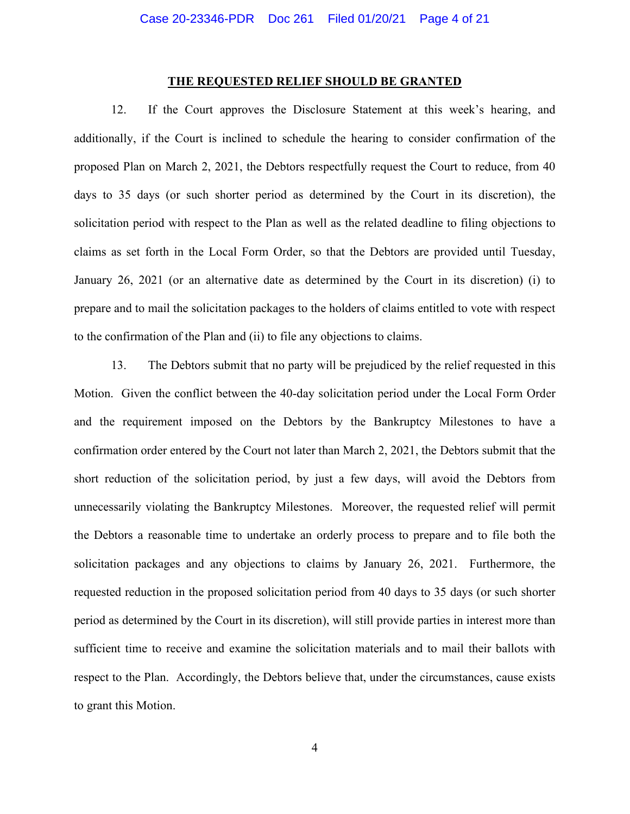### **THE REQUESTED RELIEF SHOULD BE GRANTED**

12. If the Court approves the Disclosure Statement at this week's hearing, and additionally, if the Court is inclined to schedule the hearing to consider confirmation of the proposed Plan on March 2, 2021, the Debtors respectfully request the Court to reduce, from 40 days to 35 days (or such shorter period as determined by the Court in its discretion), the solicitation period with respect to the Plan as well as the related deadline to filing objections to claims as set forth in the Local Form Order, so that the Debtors are provided until Tuesday, January 26, 2021 (or an alternative date as determined by the Court in its discretion) (i) to prepare and to mail the solicitation packages to the holders of claims entitled to vote with respect to the confirmation of the Plan and (ii) to file any objections to claims.

13. The Debtors submit that no party will be prejudiced by the relief requested in this Motion. Given the conflict between the 40-day solicitation period under the Local Form Order and the requirement imposed on the Debtors by the Bankruptcy Milestones to have a confirmation order entered by the Court not later than March 2, 2021, the Debtors submit that the short reduction of the solicitation period, by just a few days, will avoid the Debtors from unnecessarily violating the Bankruptcy Milestones. Moreover, the requested relief will permit the Debtors a reasonable time to undertake an orderly process to prepare and to file both the solicitation packages and any objections to claims by January 26, 2021. Furthermore, the requested reduction in the proposed solicitation period from 40 days to 35 days (or such shorter period as determined by the Court in its discretion), will still provide parties in interest more than sufficient time to receive and examine the solicitation materials and to mail their ballots with respect to the Plan. Accordingly, the Debtors believe that, under the circumstances, cause exists to grant this Motion.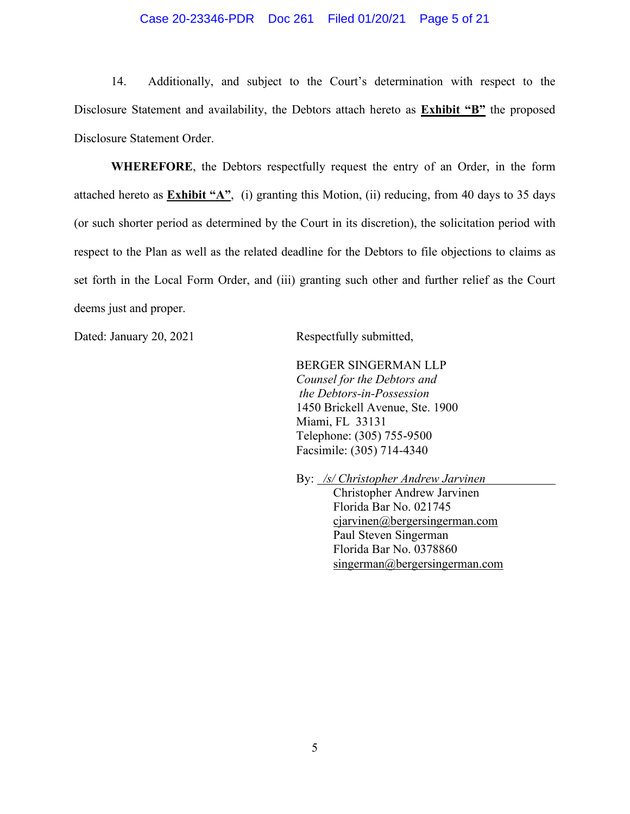### Case 20-23346-PDR Doc 261 Filed 01/20/21 Page 5 of 21

14. Additionally, and subject to the Court's determination with respect to the Disclosure Statement and availability, the Debtors attach hereto as **Exhibit "B"** the proposed Disclosure Statement Order.

 **WHEREFORE**, the Debtors respectfully request the entry of an Order, in the form attached hereto as **Exhibit "A"**, (i) granting this Motion, (ii) reducing, from 40 days to 35 days (or such shorter period as determined by the Court in its discretion), the solicitation period with respect to the Plan as well as the related deadline for the Debtors to file objections to claims as set forth in the Local Form Order, and (iii) granting such other and further relief as the Court deems just and proper.

Dated: January 20, 2021 Respectfully submitted,

 BERGER SINGERMAN LLP  *Counsel for the Debtors and the Debtors-in-Possession* 1450 Brickell Avenue, Ste. 1900 Miami, FL 33131 Telephone: (305) 755-9500 Facsimile: (305) 714-4340

By: */s/ Christopher Andrew Jarvinen* 

 Christopher Andrew Jarvinen Florida Bar No. 021745 cjarvinen@bergersingerman.com Paul Steven Singerman Florida Bar No. 0378860 singerman@bergersingerman.com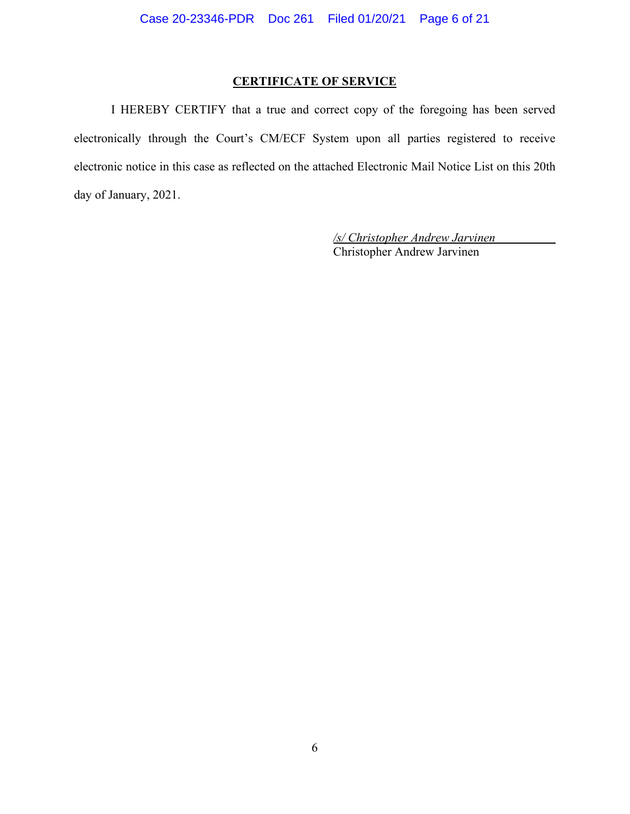# **CERTIFICATE OF SERVICE**

 I HEREBY CERTIFY that a true and correct copy of the foregoing has been served electronically through the Court's CM/ECF System upon all parties registered to receive electronic notice in this case as reflected on the attached Electronic Mail Notice List on this 20th day of January, 2021.

> */s/ Christopher Andrew Jarvinen*  Christopher Andrew Jarvinen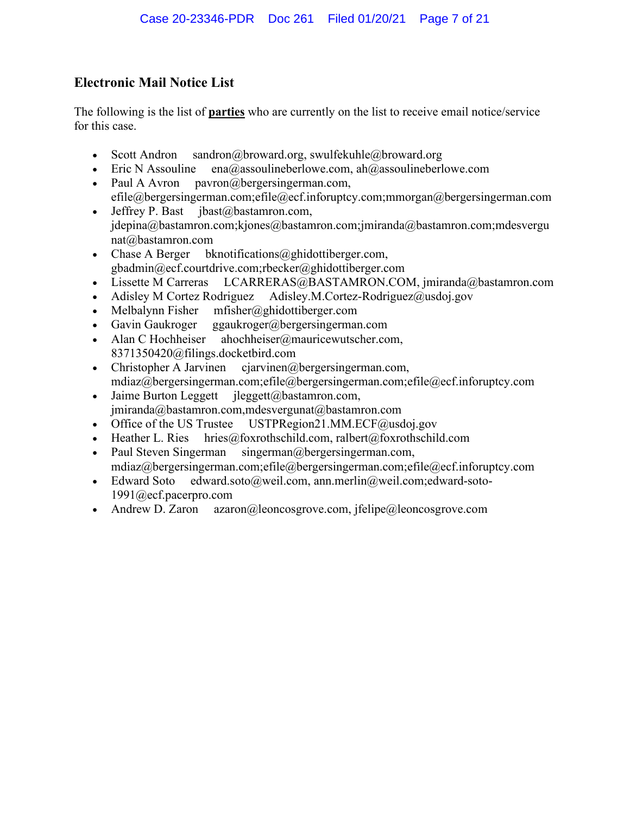# **Electronic Mail Notice List**

The following is the list of **parties** who are currently on the list to receive email notice/service for this case.

- Scott Andron sandron@broward.org, swulfekuhle@broward.org
- Eric N Assouline ena@assoulineberlowe.com, ah@assoulineberlowe.com
- Paul A Avron pavron@bergersingerman.com, efile@bergersingerman.com;efile@ecf.inforuptcy.com;mmorgan@bergersingerman.com
- Jeffrey P. Bast  $i$ bast $(a)$ bastamron.com, jdepina@bastamron.com;kjones@bastamron.com;jmiranda@bastamron.com;mdesvergu nat@bastamron.com
- Chase A Berger bknotifications@ghidottiberger.com, gbadmin@ecf.courtdrive.com;rbecker@ghidottiberger.com
- Lissette M Carreras LCARRERAS@BASTAMRON.COM, jmiranda@bastamron.com
- Adisley M Cortez Rodriguez Adisley.M.Cortez-Rodriguez@usdoj.gov
- Melbalynn Fisher mfisher@ghidottiberger.com
- Gavin Gaukroger ggaukroger@bergersingerman.com
- Alan C Hochheiser ahochheiser@mauricewutscher.com, 8371350420@filings.docketbird.com
- Christopher A Jarvinen cjarvinen@bergersingerman.com, mdiaz@bergersingerman.com;efile@bergersingerman.com;efile@ecf.inforuptcy.com
- Jaime Burton Leggett  $j$ leggett $(a)$ bastamron.com, jmiranda@bastamron.com,mdesvergunat@bastamron.com
- Office of the US Trustee USTPRegion21.MM.ECF@usdoj.gov
- Heather L. Ries hries@foxrothschild.com, ralbert@foxrothschild.com
- Paul Steven Singerman singerman@bergersingerman.com, mdiaz@bergersingerman.com;efile@bergersingerman.com;efile@ecf.inforuptcy.com
- Edward Soto edward.soto@weil.com, ann.merlin@weil.com;edward-soto-1991@ecf.pacerpro.com
- Andrew D. Zaron azaron@leoncosgrove.com, jfelipe@leoncosgrove.com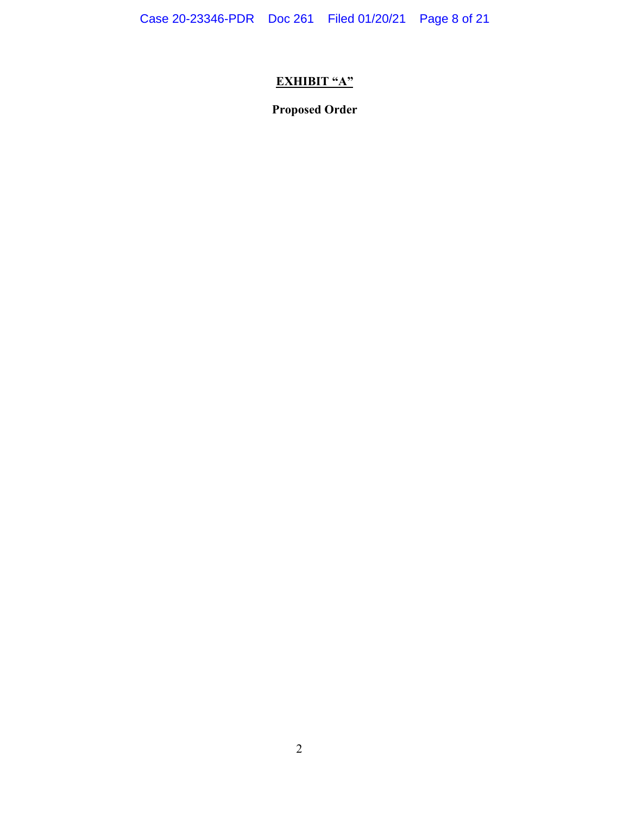Case 20-23346-PDR Doc 261 Filed 01/20/21 Page 8 of 21

# **EXHIBIT "A"**

**Proposed Order**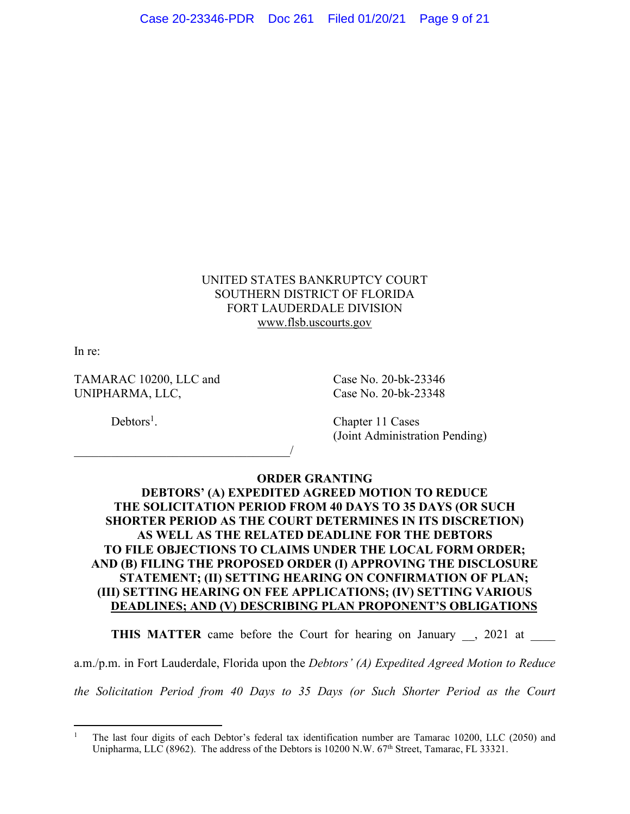## UNITED STATES BANKRUPTCY COURT SOUTHERN DISTRICT OF FLORIDA FORT LAUDERDALE DIVISION www.flsb.uscourts.gov

In re:

TAMARAC 10200, LLC and Case No. 20-bk-23346 UNIPHARMA, LLC, Case No. 20-bk-23348

 $\overline{\phantom{a}}$ 

 $Debtors<sup>1</sup>$ .

. Chapter 11 Cases (Joint Administration Pending)

# **ORDER GRANTING**

# **DEBTORS' (A) EXPEDITED AGREED MOTION TO REDUCE THE SOLICITATION PERIOD FROM 40 DAYS TO 35 DAYS (OR SUCH SHORTER PERIOD AS THE COURT DETERMINES IN ITS DISCRETION) AS WELL AS THE RELATED DEADLINE FOR THE DEBTORS TO FILE OBJECTIONS TO CLAIMS UNDER THE LOCAL FORM ORDER; AND (B) FILING THE PROPOSED ORDER (I) APPROVING THE DISCLOSURE STATEMENT; (II) SETTING HEARING ON CONFIRMATION OF PLAN; (III) SETTING HEARING ON FEE APPLICATIONS; (IV) SETTING VARIOUS DEADLINES; AND (V) DESCRIBING PLAN PROPONENT'S OBLIGATIONS**

**THIS MATTER** came before the Court for hearing on January . 2021 at

a.m./p.m. in Fort Lauderdale, Florida upon the *Debtors' (A) Expedited Agreed Motion to Reduce* 

*the Solicitation Period from 40 Days to 35 Days (or Such Shorter Period as the Court* 

<sup>1</sup> The last four digits of each Debtor's federal tax identification number are Tamarac 10200, LLC (2050) and Unipharma, LLC (8962). The address of the Debtors is 10200 N.W.  $67<sup>th</sup>$  Street, Tamarac, FL 33321.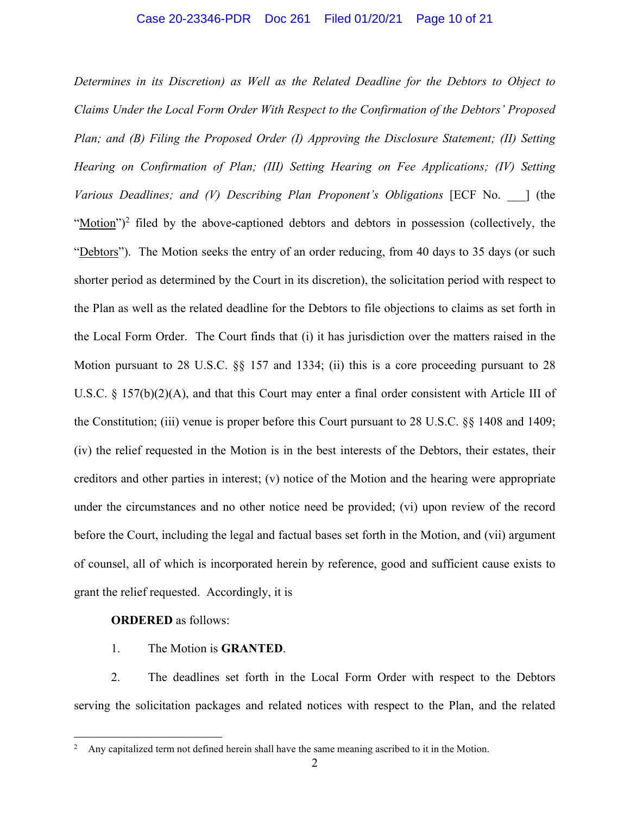### Case 20-23346-PDR Doc 261 Filed 01/20/21 Page 10 of 21

*Determines in its Discretion) as Well as the Related Deadline for the Debtors to Object to Claims Under the Local Form Order With Respect to the Confirmation of the Debtors' Proposed Plan; and (B) Filing the Proposed Order (I) Approving the Disclosure Statement; (II) Setting Hearing on Confirmation of Plan; (III) Setting Hearing on Fee Applications; (IV) Setting Various Deadlines; and (V) Describing Plan Proponent's Obligations* [ECF No. ] (the "Motion")<sup>2</sup> filed by the above-captioned debtors and debtors in possession (collectively, the "Debtors"). The Motion seeks the entry of an order reducing, from 40 days to 35 days (or such shorter period as determined by the Court in its discretion), the solicitation period with respect to the Plan as well as the related deadline for the Debtors to file objections to claims as set forth in the Local Form Order. The Court finds that (i) it has jurisdiction over the matters raised in the Motion pursuant to 28 U.S.C.  $\S_6$  157 and 1334; (ii) this is a core proceeding pursuant to 28 U.S.C.  $\S 157(b)(2)(A)$ , and that this Court may enter a final order consistent with Article III of the Constitution; (iii) venue is proper before this Court pursuant to 28 U.S.C. §§ 1408 and 1409; (iv) the relief requested in the Motion is in the best interests of the Debtors, their estates, their creditors and other parties in interest; (v) notice of the Motion and the hearing were appropriate under the circumstances and no other notice need be provided; (vi) upon review of the record before the Court, including the legal and factual bases set forth in the Motion, and (vii) argument of counsel, all of which is incorporated herein by reference, good and sufficient cause exists to grant the relief requested. Accordingly, it is

**ORDERED** as follows:

1. The Motion is **GRANTED**.

2. The deadlines set forth in the Local Form Order with respect to the Debtors serving the solicitation packages and related notices with respect to the Plan, and the related

<sup>&</sup>lt;sup>2</sup> Any capitalized term not defined herein shall have the same meaning ascribed to it in the Motion.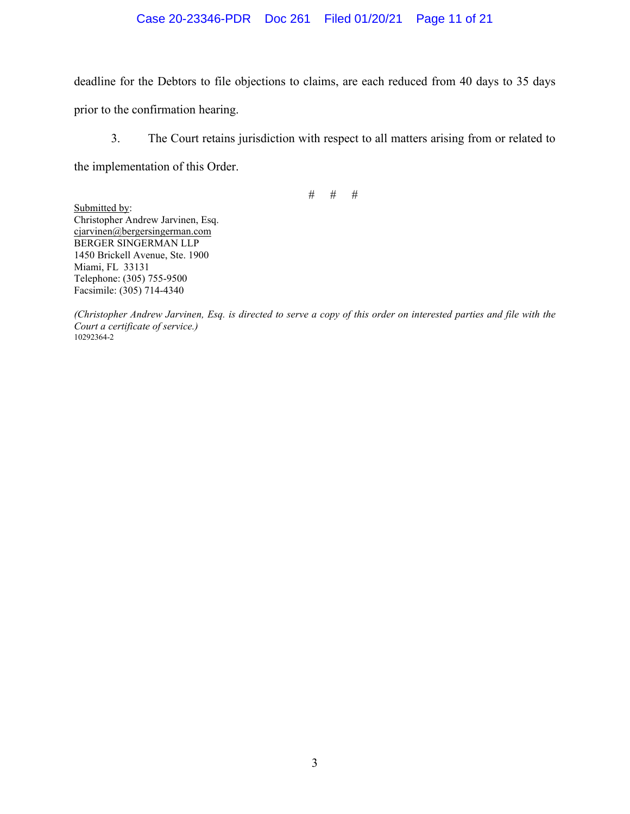### Case 20-23346-PDR Doc 261 Filed 01/20/21 Page 11 of 21

deadline for the Debtors to file objections to claims, are each reduced from 40 days to 35 days prior to the confirmation hearing.

3. The Court retains jurisdiction with respect to all matters arising from or related to the implementation of this Order.

# # #

Submitted by: Christopher Andrew Jarvinen, Esq. cjarvinen@bergersingerman.com BERGER SINGERMAN LLP 1450 Brickell Avenue, Ste. 1900 Miami, FL 33131 Telephone: (305) 755-9500 Facsimile: (305) 714-4340

*(Christopher Andrew Jarvinen, Esq. is directed to serve a copy of this order on interested parties and file with the Court a certificate of service.)*  10292364-2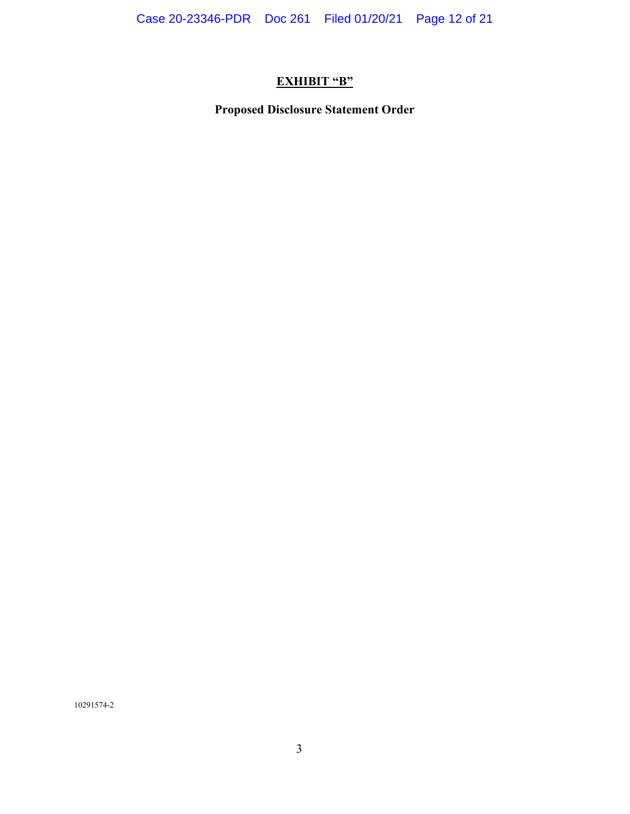Case 20-23346-PDR Doc 261 Filed 01/20/21 Page 12 of 21

# **EXHIBIT "B"**

**Proposed Disclosure Statement Order** 

10291574-2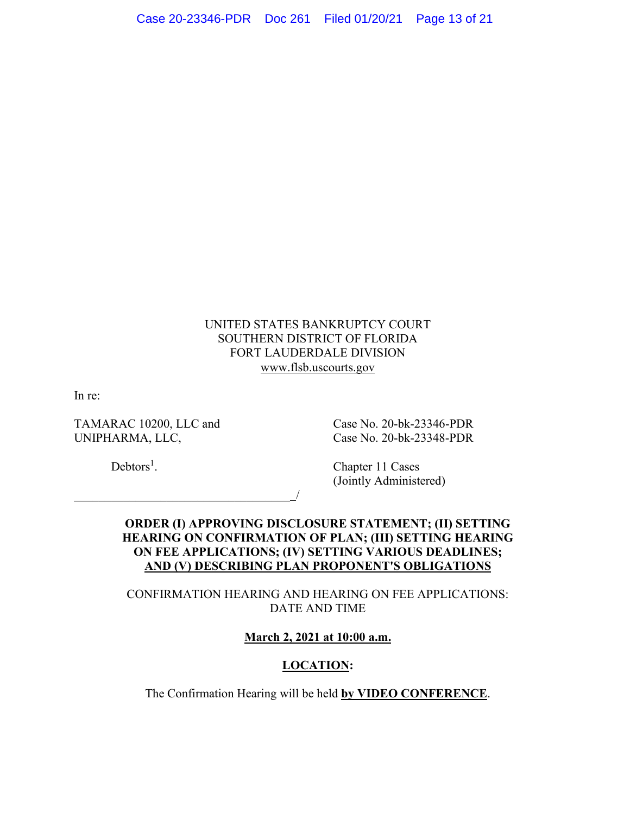# UNITED STATES BANKRUPTCY COURT SOUTHERN DISTRICT OF FLORIDA FORT LAUDERDALE DIVISION www.flsb.uscourts.gov

In re:

# TAMARAC 10200, LLC and Case No. 20-bk-23346-PDR UNIPHARMA, LLC, Case No. 20-bk-23348-PDR

 $\overline{\phantom{a}}$  /  $\overline{\phantom{a}}$ 

 $Debtors<sup>1</sup>$ .

. Chapter 11 Cases (Jointly Administered)

# **ORDER (I) APPROVING DISCLOSURE STATEMENT; (II) SETTING HEARING ON CONFIRMATION OF PLAN; (III) SETTING HEARING ON FEE APPLICATIONS; (IV) SETTING VARIOUS DEADLINES; AND (V) DESCRIBING PLAN PROPONENT'S OBLIGATIONS**

CONFIRMATION HEARING AND HEARING ON FEE APPLICATIONS: DATE AND TIME

**March 2, 2021 at 10:00 a.m.** 

# **LOCATION:**

The Confirmation Hearing will be held **by VIDEO CONFERENCE**.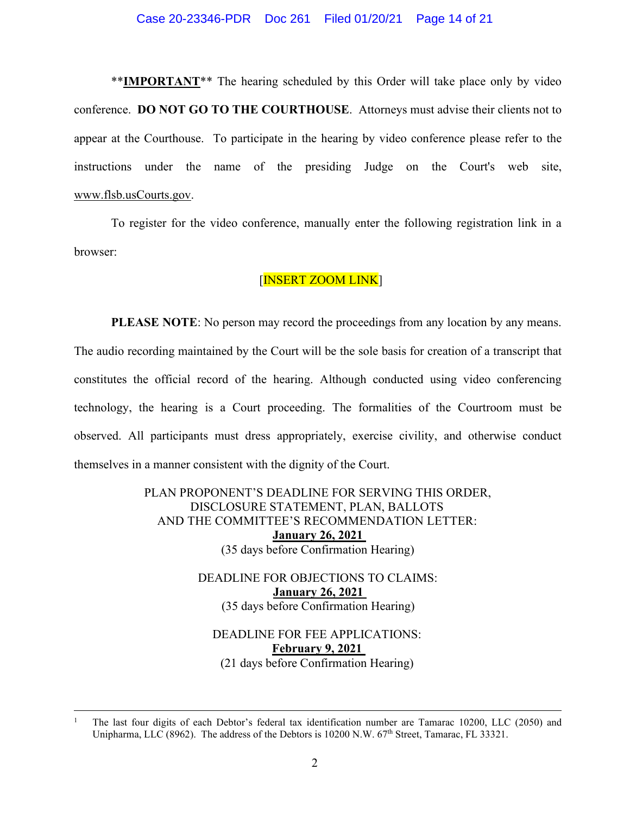#### Case 20-23346-PDR Doc 261 Filed 01/20/21 Page 14 of 21

\*\*IMPORTANT<sup>\*\*</sup> The hearing scheduled by this Order will take place only by video conference. **DO NOT GO TO THE COURTHOUSE**. Attorneys must advise their clients not to appear at the Courthouse. To participate in the hearing by video conference please refer to the instructions under the name of the presiding Judge on the Court's web site, www.flsb.usCourts.gov.

 To register for the video conference, manually enter the following registration link in a browser:

### [INSERT ZOOM LINK]

**PLEASE NOTE:** No person may record the proceedings from any location by any means. The audio recording maintained by the Court will be the sole basis for creation of a transcript that constitutes the official record of the hearing. Although conducted using video conferencing technology, the hearing is a Court proceeding. The formalities of the Courtroom must be observed. All participants must dress appropriately, exercise civility, and otherwise conduct themselves in a manner consistent with the dignity of the Court.

> PLAN PROPONENT'S DEADLINE FOR SERVING THIS ORDER, DISCLOSURE STATEMENT, PLAN, BALLOTS AND THE COMMITTEE'S RECOMMENDATION LETTER: **January 26, 2021**  (35 days before Confirmation Hearing)

> > DEADLINE FOR OBJECTIONS TO CLAIMS: **January 26, 2021**  (35 days before Confirmation Hearing)

# DEADLINE FOR FEE APPLICATIONS: **February 9, 2021**  (21 days before Confirmation Hearing)

<sup>1</sup> The last four digits of each Debtor's federal tax identification number are Tamarac 10200, LLC (2050) and Unipharma, LLC (8962). The address of the Debtors is 10200 N.W. 67<sup>th</sup> Street, Tamarac, FL 33321.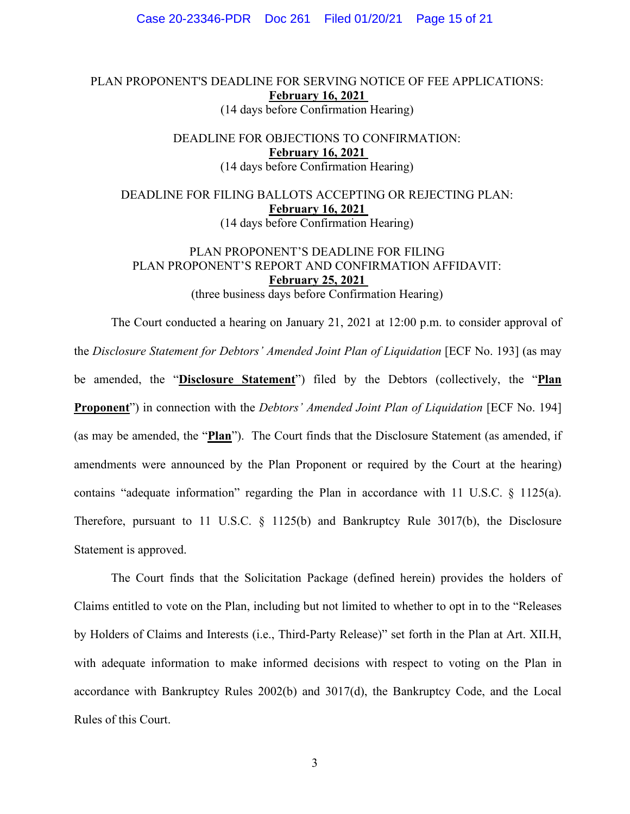Case 20-23346-PDR Doc 261 Filed 01/20/21 Page 15 of 21

PLAN PROPONENT'S DEADLINE FOR SERVING NOTICE OF FEE APPLICATIONS: **February 16, 2021** 

(14 days before Confirmation Hearing)

DEADLINE FOR OBJECTIONS TO CONFIRMATION: **February 16, 2021**  (14 days before Confirmation Hearing)

DEADLINE FOR FILING BALLOTS ACCEPTING OR REJECTING PLAN: **February 16, 2021**  (14 days before Confirmation Hearing)

## PLAN PROPONENT'S DEADLINE FOR FILING PLAN PROPONENT'S REPORT AND CONFIRMATION AFFIDAVIT: **February 25, 2021**  (three business days before Confirmation Hearing)

The Court conducted a hearing on January 21, 2021 at 12:00 p.m. to consider approval of the *Disclosure Statement for Debtors' Amended Joint Plan of Liquidation* [ECF No. 193] (as may be amended, the "**Disclosure Statement**") filed by the Debtors (collectively, the "**Plan Proponent**") in connection with the *Debtors' Amended Joint Plan of Liquidation* [ECF No. 194] (as may be amended, the "**Plan**"). The Court finds that the Disclosure Statement (as amended, if amendments were announced by the Plan Proponent or required by the Court at the hearing) contains "adequate information" regarding the Plan in accordance with 11 U.S.C. § 1125(a). Therefore, pursuant to 11 U.S.C. § 1125(b) and Bankruptcy Rule 3017(b), the Disclosure Statement is approved.

The Court finds that the Solicitation Package (defined herein) provides the holders of Claims entitled to vote on the Plan, including but not limited to whether to opt in to the "Releases by Holders of Claims and Interests (i.e., Third-Party Release)" set forth in the Plan at Art. XII.H, with adequate information to make informed decisions with respect to voting on the Plan in accordance with Bankruptcy Rules 2002(b) and 3017(d), the Bankruptcy Code, and the Local Rules of this Court.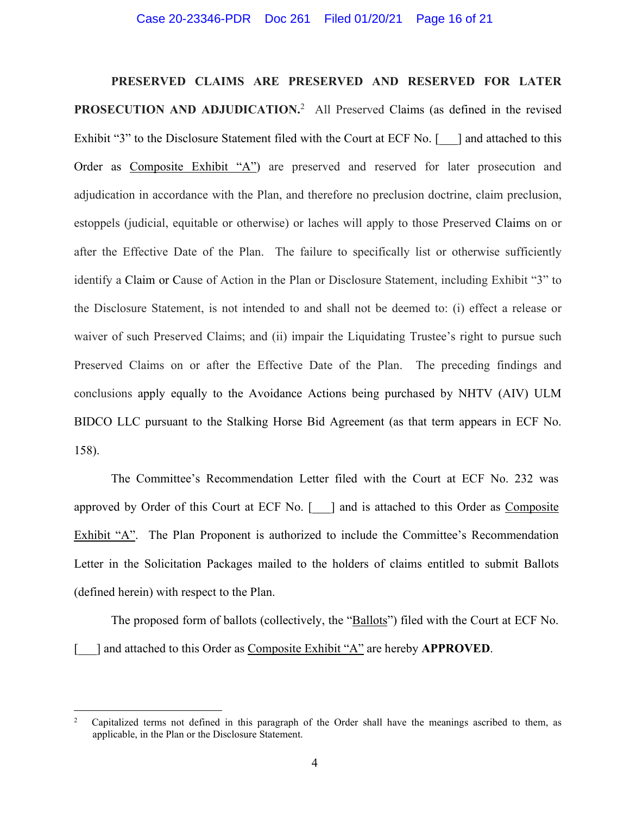#### Case 20-23346-PDR Doc 261 Filed 01/20/21 Page 16 of 21

**PRESERVED CLAIMS ARE PRESERVED AND RESERVED FOR LATER PROSECUTION AND ADJUDICATION.<sup>2</sup>** All Preserved Claims (as defined in the revised Exhibit "3" to the Disclosure Statement filed with the Court at ECF No. [ ] and attached to this Order as Composite Exhibit "A") are preserved and reserved for later prosecution and adjudication in accordance with the Plan, and therefore no preclusion doctrine, claim preclusion, estoppels (judicial, equitable or otherwise) or laches will apply to those Preserved Claims on or after the Effective Date of the Plan. The failure to specifically list or otherwise sufficiently identify a Claim or Cause of Action in the Plan or Disclosure Statement, including Exhibit "3" to the Disclosure Statement, is not intended to and shall not be deemed to: (i) effect a release or waiver of such Preserved Claims; and (ii) impair the Liquidating Trustee's right to pursue such Preserved Claims on or after the Effective Date of the Plan. The preceding findings and conclusions apply equally to the Avoidance Actions being purchased by NHTV (AIV) ULM BIDCO LLC pursuant to the Stalking Horse Bid Agreement (as that term appears in ECF No. 158).

The Committee's Recommendation Letter filed with the Court at ECF No. 232 was approved by Order of this Court at ECF No. [...] and is attached to this Order as Composite Exhibit "A". The Plan Proponent is authorized to include the Committee's Recommendation Letter in the Solicitation Packages mailed to the holders of claims entitled to submit Ballots (defined herein) with respect to the Plan.

The proposed form of ballots (collectively, the "Ballots") filed with the Court at ECF No. [\_\_\_] and attached to this Order as Composite Exhibit "A" are hereby **APPROVED**.

<sup>2</sup> Capitalized terms not defined in this paragraph of the Order shall have the meanings ascribed to them, as applicable, in the Plan or the Disclosure Statement.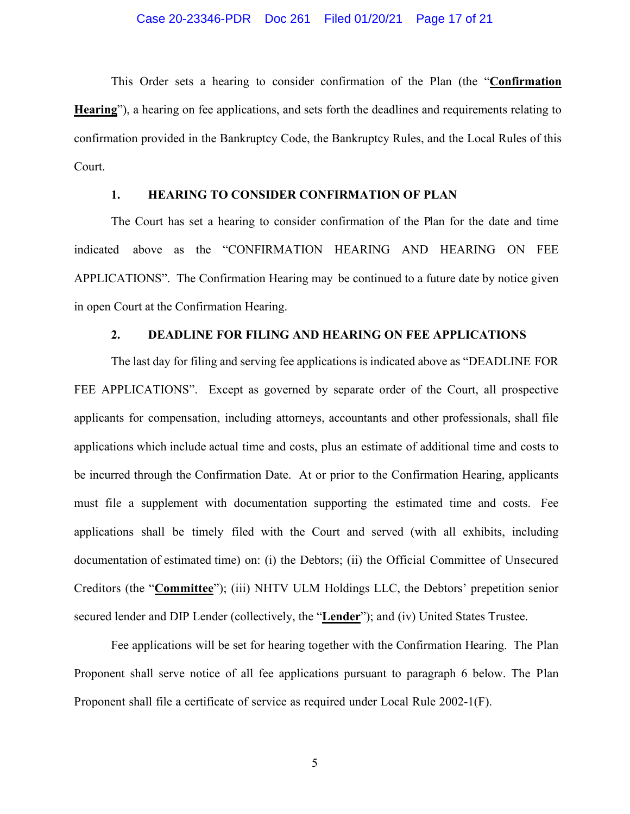This Order sets a hearing to consider confirmation of the Plan (the "**Confirmation Hearing**"), a hearing on fee applications, and sets forth the deadlines and requirements relating to confirmation provided in the Bankruptcy Code, the Bankruptcy Rules, and the Local Rules of this Court.

## **1. HEARING TO CONSIDER CONFIRMATION OF PLAN**

The Court has set a hearing to consider confirmation of the Plan for the date and time indicated above as the "CONFIRMATION HEARING AND HEARING ON FEE APPLICATIONS". The Confirmation Hearing may be continued to a future date by notice given in open Court at the Confirmation Hearing.

### **2. DEADLINE FOR FILING AND HEARING ON FEE APPLICATIONS**

The last day for filing and serving fee applications is indicated above as "DEADLINE FOR FEE APPLICATIONS". Except as governed by separate order of the Court, all prospective applicants for compensation, including attorneys, accountants and other professionals, shall file applications which include actual time and costs, plus an estimate of additional time and costs to be incurred through the Confirmation Date. At or prior to the Confirmation Hearing, applicants must file a supplement with documentation supporting the estimated time and costs. Fee applications shall be timely filed with the Court and served (with all exhibits, including documentation of estimated time) on: (i) the Debtors; (ii) the Official Committee of Unsecured Creditors (the "**Committee**"); (iii) NHTV ULM Holdings LLC, the Debtors' prepetition senior secured lender and DIP Lender (collectively, the "**Lender**"); and (iv) United States Trustee.

Fee applications will be set for hearing together with the Confirmation Hearing. The Plan Proponent shall serve notice of all fee applications pursuant to paragraph 6 below. The Plan Proponent shall file a certificate of service as required under Local Rule 2002-1(F).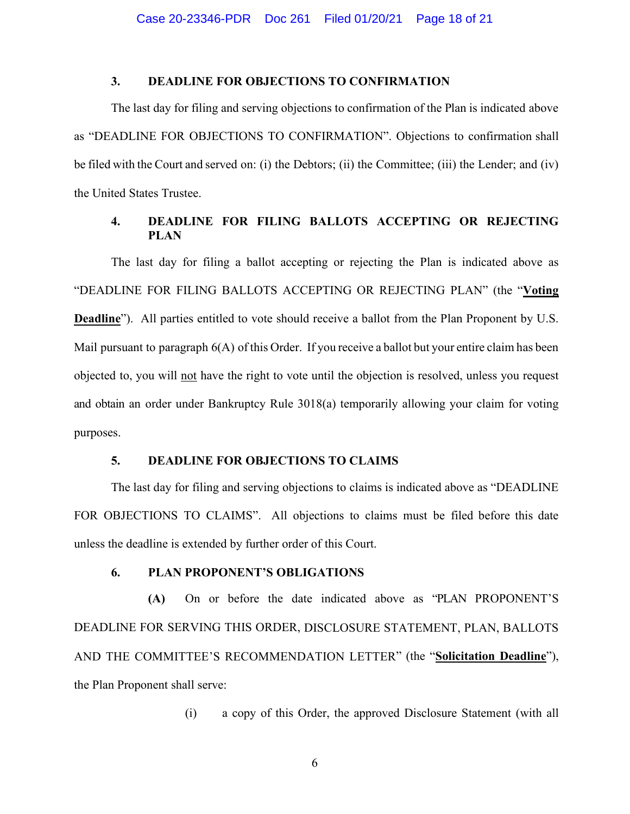# **3. DEADLINE FOR OBJECTIONS TO CONFIRMATION**

The last day for filing and serving objections to confirmation of the Plan is indicated above as "DEADLINE FOR OBJECTIONS TO CONFIRMATION". Objections to confirmation shall be filed with the Court and served on: (i) the Debtors; (ii) the Committee; (iii) the Lender; and (iv) the United States Trustee.

## **4. DEADLINE FOR FILING BALLOTS ACCEPTING OR REJECTING PLAN**

The last day for filing a ballot accepting or rejecting the Plan is indicated above as "DEADLINE FOR FILING BALLOTS ACCEPTING OR REJECTING PLAN" (the "**Voting Deadline**"). All parties entitled to vote should receive a ballot from the Plan Proponent by U.S. Mail pursuant to paragraph 6(A) of this Order. If you receive a ballot but your entire claim has been objected to, you will not have the right to vote until the objection is resolved, unless you request and obtain an order under Bankruptcy Rule 3018(a) temporarily allowing your claim for voting purposes.

### **5. DEADLINE FOR OBJECTIONS TO CLAIMS**

The last day for filing and serving objections to claims is indicated above as "DEADLINE FOR OBJECTIONS TO CLAIMS". All objections to claims must be filed before this date unless the deadline is extended by further order of this Court.

### **6. PLAN PROPONENT'S OBLIGATIONS**

**(A)** On or before the date indicated above as "PLAN PROPONENT'S DEADLINE FOR SERVING THIS ORDER, DISCLOSURE STATEMENT, PLAN, BALLOTS AND THE COMMITTEE'S RECOMMENDATION LETTER" (the "**Solicitation Deadline**"), the Plan Proponent shall serve:

(i) a copy of this Order, the approved Disclosure Statement (with all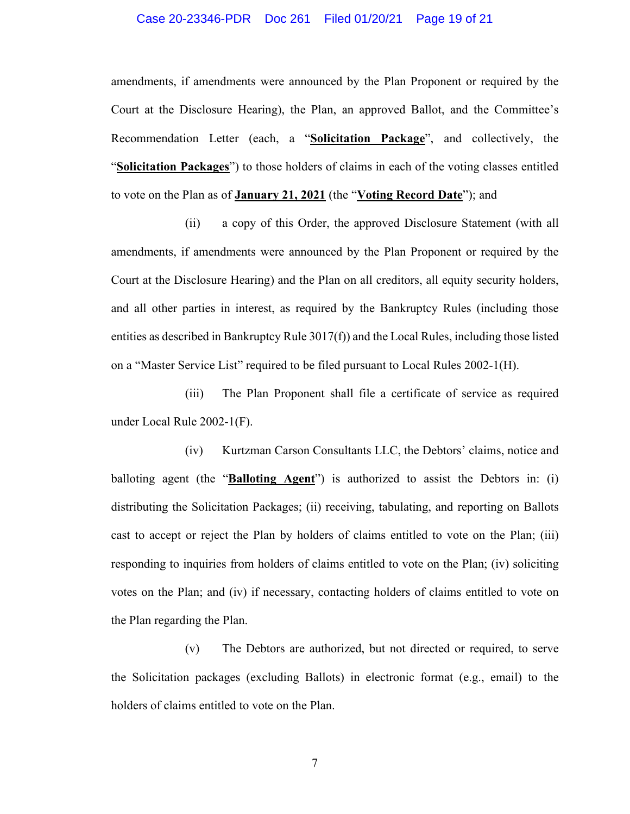#### Case 20-23346-PDR Doc 261 Filed 01/20/21 Page 19 of 21

amendments, if amendments were announced by the Plan Proponent or required by the Court at the Disclosure Hearing), the Plan, an approved Ballot, and the Committee's Recommendation Letter (each, a "**Solicitation Package**", and collectively, the "**Solicitation Packages**") to those holders of claims in each of the voting classes entitled to vote on the Plan as of **January 21, 2021** (the "**Voting Record Date**"); and

(ii) a copy of this Order, the approved Disclosure Statement (with all amendments, if amendments were announced by the Plan Proponent or required by the Court at the Disclosure Hearing) and the Plan on all creditors, all equity security holders, and all other parties in interest, as required by the Bankruptcy Rules (including those entities as described in Bankruptcy Rule 3017(f)) and the Local Rules, including those listed on a "Master Service List" required to be filed pursuant to Local Rules 2002-1(H).

(iii) The Plan Proponent shall file a certificate of service as required under Local Rule 2002-1(F).

(iv) Kurtzman Carson Consultants LLC, the Debtors' claims, notice and balloting agent (the "**Balloting Agent**") is authorized to assist the Debtors in: (i) distributing the Solicitation Packages; (ii) receiving, tabulating, and reporting on Ballots cast to accept or reject the Plan by holders of claims entitled to vote on the Plan; (iii) responding to inquiries from holders of claims entitled to vote on the Plan; (iv) soliciting votes on the Plan; and (iv) if necessary, contacting holders of claims entitled to vote on the Plan regarding the Plan.

(v) The Debtors are authorized, but not directed or required, to serve the Solicitation packages (excluding Ballots) in electronic format (e.g., email) to the holders of claims entitled to vote on the Plan.

7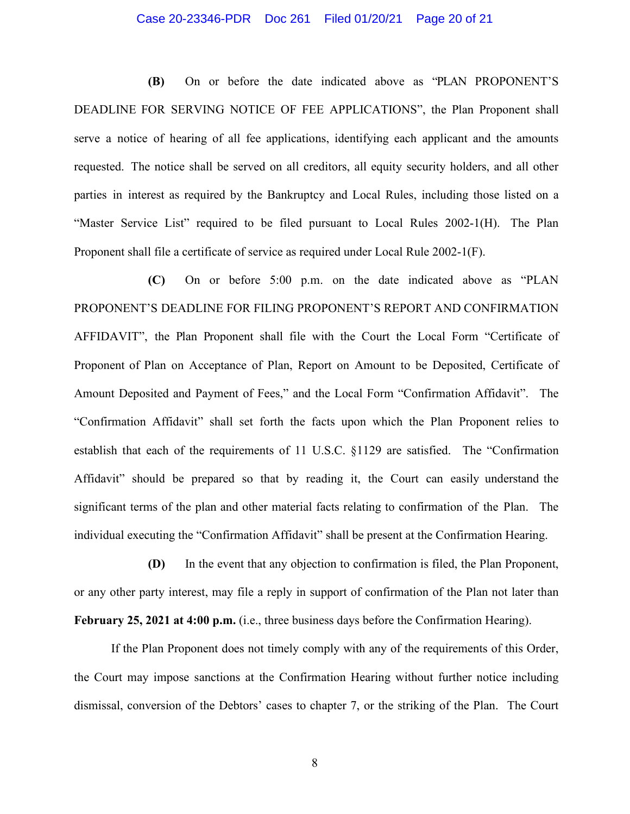### Case 20-23346-PDR Doc 261 Filed 01/20/21 Page 20 of 21

**(B)** On or before the date indicated above as "PLAN PROPONENT'S DEADLINE FOR SERVING NOTICE OF FEE APPLICATIONS", the Plan Proponent shall serve a notice of hearing of all fee applications, identifying each applicant and the amounts requested. The notice shall be served on all creditors, all equity security holders, and all other parties in interest as required by the Bankruptcy and Local Rules, including those listed on a "Master Service List" required to be filed pursuant to Local Rules 2002-1(H). The Plan Proponent shall file a certificate of service as required under Local Rule 2002-1(F).

**(C)** On or before 5:00 p.m. on the date indicated above as "PLAN PROPONENT'S DEADLINE FOR FILING PROPONENT'S REPORT AND CONFIRMATION AFFIDAVIT", the Plan Proponent shall file with the Court the Local Form "Certificate of Proponent of Plan on Acceptance of Plan, Report on Amount to be Deposited, Certificate of Amount Deposited and Payment of Fees," and the Local Form "Confirmation Affidavit". The "Confirmation Affidavit" shall set forth the facts upon which the Plan Proponent relies to establish that each of the requirements of 11 U.S.C. §1129 are satisfied. The "Confirmation Affidavit" should be prepared so that by reading it, the Court can easily understand the significant terms of the plan and other material facts relating to confirmation of the Plan. The individual executing the "Confirmation Affidavit" shall be present at the Confirmation Hearing.

**(D)** In the event that any objection to confirmation is filed, the Plan Proponent, or any other party interest, may file a reply in support of confirmation of the Plan not later than **February 25, 2021 at 4:00 p.m.** (i.e., three business days before the Confirmation Hearing).

If the Plan Proponent does not timely comply with any of the requirements of this Order, the Court may impose sanctions at the Confirmation Hearing without further notice including dismissal, conversion of the Debtors' cases to chapter 7, or the striking of the Plan. The Court

8